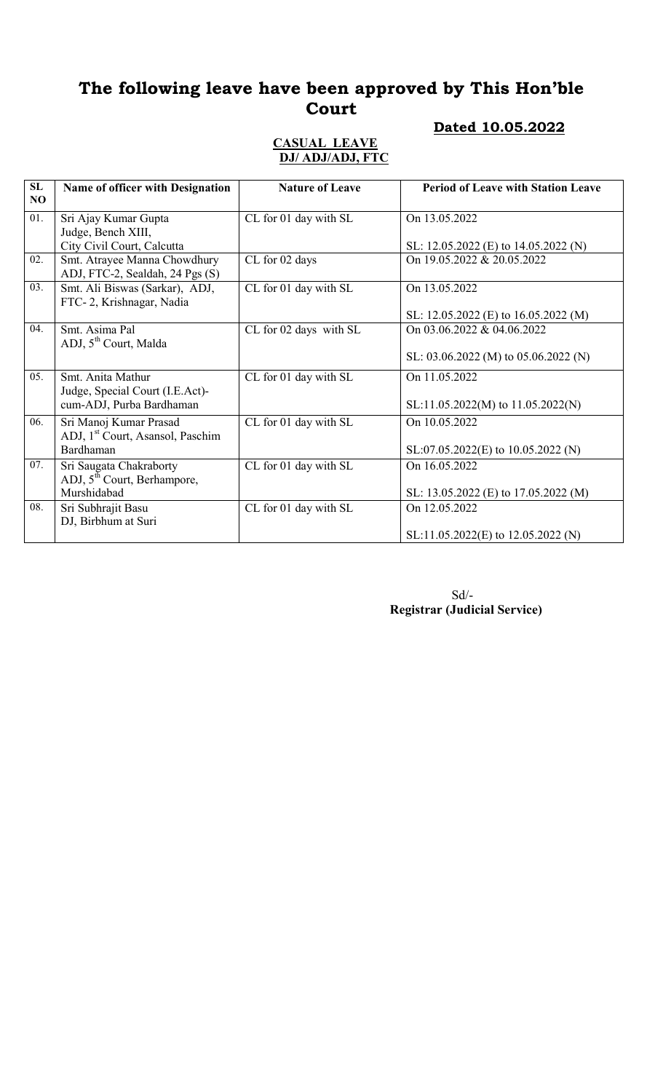#### Dated 10.05.2022

#### CASUAL LEAVE DJ/ ADJ/ADJ, FTC

| SL<br>NO. | <b>Name of officer with Designation</b>                                | <b>Nature of Leave</b> | <b>Period of Leave with Station Leave</b> |
|-----------|------------------------------------------------------------------------|------------------------|-------------------------------------------|
| 01.       | Sri Ajay Kumar Gupta<br>Judge, Bench XIII,                             | CL for 01 day with SL  | On 13.05.2022                             |
|           | City Civil Court, Calcutta                                             |                        | SL: 12.05.2022 (E) to $14.05.2022$ (N)    |
| 02.       | Smt. Atrayee Manna Chowdhury<br>ADJ, FTC-2, Sealdah, 24 Pgs (S)        | CL for 02 days         | On 19.05.2022 & 20.05.2022                |
| 03.       | Smt. Ali Biswas (Sarkar), ADJ,<br>FTC-2, Krishnagar, Nadia             | CL for 01 day with SL  | On 13.05.2022                             |
|           |                                                                        |                        | SL: 12.05.2022 (E) to 16.05.2022 (M)      |
| 04.       | Smt. Asima Pal<br>ADJ, 5 <sup>th</sup> Court, Malda                    | CL for 02 days with SL | On 03.06.2022 & 04.06.2022                |
|           |                                                                        |                        | SL: 03.06.2022 (M) to 05.06.2022 (N)      |
| 05.       | Smt. Anita Mathur                                                      | CL for 01 day with SL  | On 11.05.2022                             |
|           | Judge, Special Court (I.E.Act)-<br>cum-ADJ, Purba Bardhaman            |                        | SL:11.05.2022(M) to 11.05.2022(N)         |
| 06.       | Sri Manoj Kumar Prasad<br>ADJ, 1 <sup>st</sup> Court, Asansol, Paschim | CL for 01 day with SL  | On 10.05.2022                             |
|           | Bardhaman                                                              |                        | SL:07.05.2022(E) to 10.05.2022 (N)        |
| 07.       | Sri Saugata Chakraborty<br>ADJ, 5 <sup>th</sup> Court, Berhampore,     | CL for 01 day with SL  | On 16.05.2022                             |
|           | Murshidabad                                                            |                        | SL: 13.05.2022 (E) to 17.05.2022 (M)      |
| 08.       | Sri Subhrajit Basu<br>DJ, Birbhum at Suri                              | CL for 01 day with SL  | On 12.05.2022                             |
|           |                                                                        |                        | SL:11.05.2022(E) to 12.05.2022 (N)        |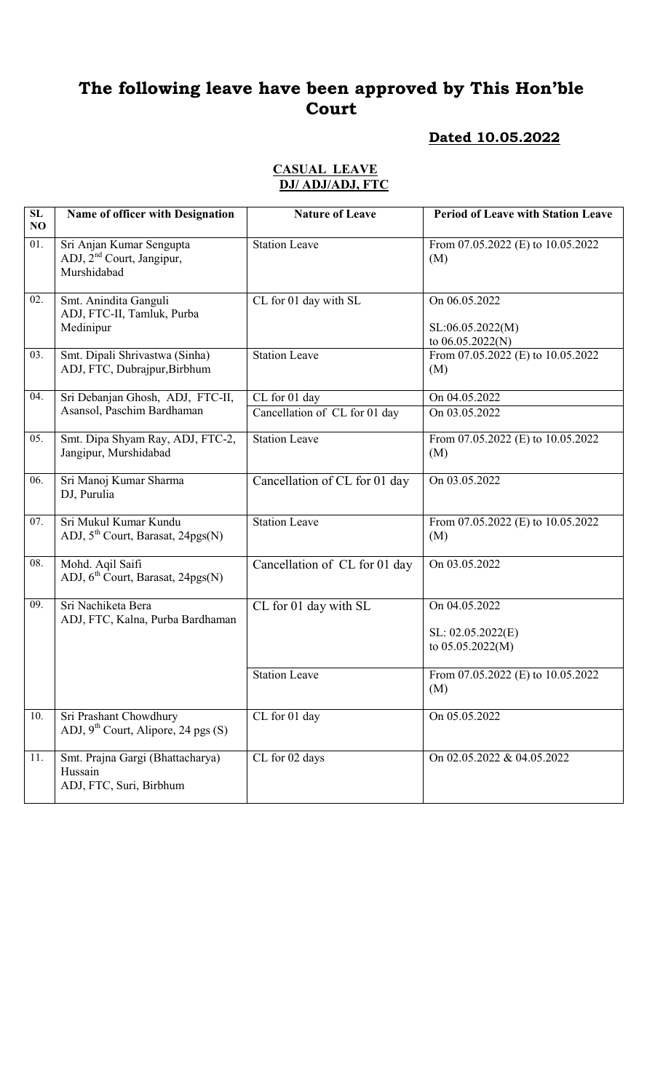## Dated 10.05.2022

#### CASUAL LEAVE DJ/ ADJ/ADJ, FTC

| SL<br>NO | Name of officer with Designation                                                 | <b>Nature of Leave</b>        | <b>Period of Leave with Station Leave</b>             |
|----------|----------------------------------------------------------------------------------|-------------------------------|-------------------------------------------------------|
| 01.      | Sri Anjan Kumar Sengupta<br>ADJ, 2 <sup>nd</sup> Court, Jangipur,<br>Murshidabad | <b>Station Leave</b>          | From 07.05.2022 (E) to 10.05.2022<br>(M)              |
| 02.      | Smt. Anindita Ganguli<br>ADJ, FTC-II, Tamluk, Purba<br>Medinipur                 | CL for 01 day with SL         | On 06.05.2022<br>SL:06.05.2022(M)<br>to 06.05.2022(N) |
| 03.      | Smt. Dipali Shrivastwa (Sinha)<br>ADJ, FTC, Dubrajpur, Birbhum                   | <b>Station Leave</b>          | From 07.05.2022 (E) to 10.05.2022<br>(M)              |
| 04.      | Sri Debanjan Ghosh, ADJ, FTC-II,                                                 | CL for 01 day                 | On 04.05.2022                                         |
|          | Asansol, Paschim Bardhaman                                                       | Cancellation of CL for 01 day | On 03.05.2022                                         |
| 05.      | Smt. Dipa Shyam Ray, ADJ, FTC-2,<br>Jangipur, Murshidabad                        | <b>Station Leave</b>          | From 07.05.2022 (E) to 10.05.2022<br>(M)              |
| 06.      | Sri Manoj Kumar Sharma<br>DJ, Purulia                                            | Cancellation of CL for 01 day | On 03.05.2022                                         |
| 07.      | Sri Mukul Kumar Kundu<br>ADJ, 5 <sup>th</sup> Court, Barasat, 24pgs(N)           | <b>Station Leave</b>          | From 07.05.2022 (E) to 10.05.2022<br>(M)              |
| 08.      | Mohd. Aqil Saifi<br>ADJ, 6 <sup>th</sup> Court, Barasat, 24pgs(N)                | Cancellation of CL for 01 day | On 03.05.2022                                         |
| 09.      | Sri Nachiketa Bera<br>ADJ, FTC, Kalna, Purba Bardhaman                           | CL for 01 day with SL         | On 04.05.2022<br>SL: 02.05.2022(E)                    |
|          |                                                                                  |                               | to $05.05.2022(M)$                                    |
|          |                                                                                  | <b>Station Leave</b>          | From 07.05.2022 (E) to 10.05.2022<br>(M)              |
| 10.      | Sri Prashant Chowdhury<br>ADJ, $9^{th}$ Court, Alipore, 24 pgs (S)               | CL for 01 day                 | On 05.05.2022                                         |
| 11.      | Smt. Prajna Gargi (Bhattacharya)<br>Hussain<br>ADJ, FTC, Suri, Birbhum           | CL for 02 days                | On 02.05.2022 & 04.05.2022                            |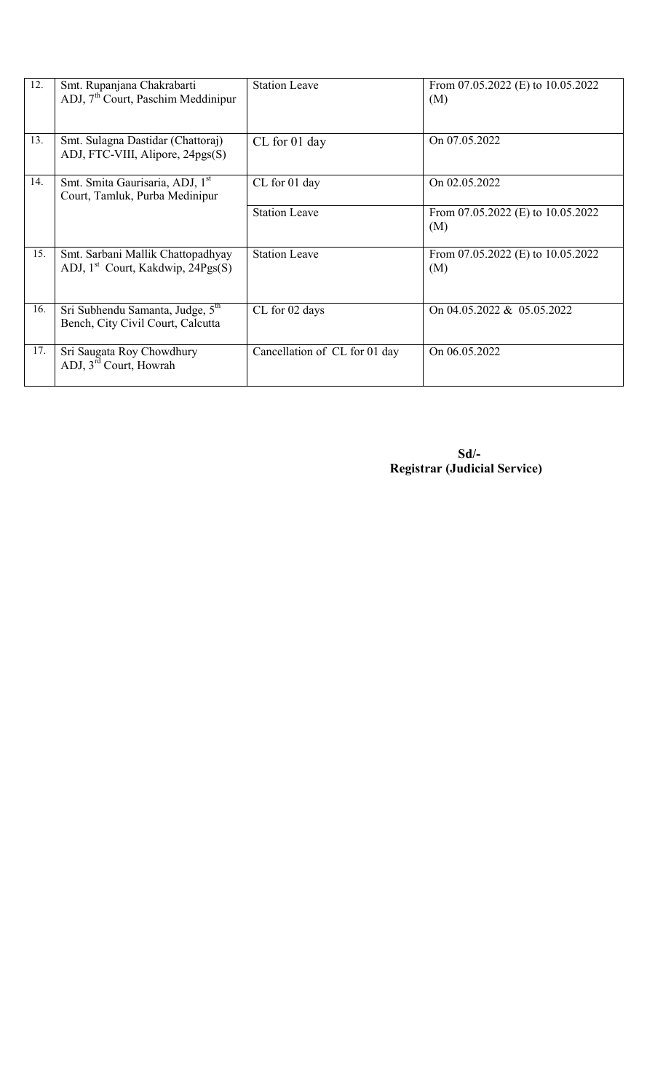| 12. | Smt. Rupanjana Chakrabarti<br>ADJ, $7th$ Court, Paschim Meddinipur                 | <b>Station Leave</b>          | From 07.05.2022 (E) to 10.05.2022<br>(M)     |
|-----|------------------------------------------------------------------------------------|-------------------------------|----------------------------------------------|
| 13. | Smt. Sulagna Dastidar (Chattoraj)<br>ADJ, FTC-VIII, Alipore, 24pgs(S)              | CL for 01 day                 | On 07.05.2022                                |
| 14. | Smt. Smita Gaurisaria, ADJ, 1 <sup>st</sup><br>Court, Tamluk, Purba Medinipur      | CL for 01 day                 | On 02.05.2022                                |
|     |                                                                                    | <b>Station Leave</b>          | From 07.05.2022 (E) to 10.05.2022<br>(M)     |
| 15. | Smt. Sarbani Mallik Chattopadhyay<br>ADJ, 1 <sup>st</sup> Court, Kakdwip, 24Pgs(S) | <b>Station Leave</b>          | From $07.05.2022$ (E) to $10.05.2022$<br>(M) |
| 16. | Sri Subhendu Samanta, Judge, 5 <sup>th</sup><br>Bench, City Civil Court, Calcutta  | CL for 02 days                | On 04.05.2022 & 05.05.2022                   |
| 17. | Sri Saugata Roy Chowdhury<br>ADJ, 3 <sup>rd</sup> Court, Howrah                    | Cancellation of CL for 01 day | On 06.05.2022                                |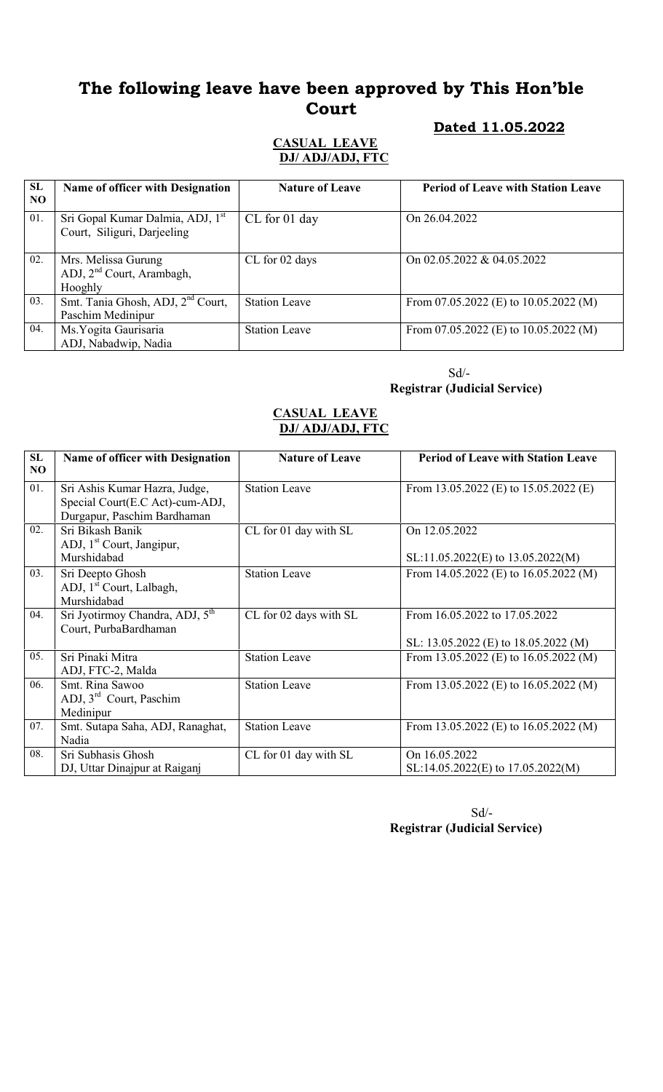#### Dated 11.05.2022

#### CASUAL LEAVE DJ/ ADJ/ADJ, FTC

| <b>SL</b><br>NO. | Name of officer with Designation                                            | <b>Nature of Leave</b> | <b>Period of Leave with Station Leave</b> |
|------------------|-----------------------------------------------------------------------------|------------------------|-------------------------------------------|
| 01.              | Sri Gopal Kumar Dalmia, ADJ, 1 <sup>st</sup><br>Court, Siliguri, Darjeeling | CL for 01 day          | On 26.04.2022                             |
| 02.              | Mrs. Melissa Gurung<br>ADJ, $2nd$ Court, Arambagh,<br>Hooghly               | CL for 02 days         | On 02.05.2022 & 04.05.2022                |
| 03.              | Smt. Tania Ghosh, ADJ, 2 <sup>nd</sup> Court,<br>Paschim Medinipur          | <b>Station Leave</b>   | From 07.05.2022 (E) to $10.05.2022$ (M)   |
| 04.              | Ms. Yogita Gaurisaria<br>ADJ, Nabadwip, Nadia                               | <b>Station Leave</b>   | From 07.05.2022 (E) to $10.05.2022$ (M)   |

 Sd/- Registrar (Judicial Service)

#### CASUAL LEAVE DJ/ ADJ/ADJ, FTC

| SL<br>NO | <b>Name of officer with Designation</b>                                                         | <b>Nature of Leave</b> | <b>Period of Leave with Station Leave</b>                             |
|----------|-------------------------------------------------------------------------------------------------|------------------------|-----------------------------------------------------------------------|
| 01.      | Sri Ashis Kumar Hazra, Judge,<br>Special Court(E.C Act)-cum-ADJ,<br>Durgapur, Paschim Bardhaman | <b>Station Leave</b>   | From 13.05.2022 (E) to $15.05.2022$ (E)                               |
| 02.      | Sri Bikash Banik<br>ADJ, 1 <sup>st</sup> Court, Jangipur,<br>Murshidabad                        | CL for 01 day with SL  | On 12.05.2022<br>$SL:11.05.2022(E)$ to $13.05.2022(M)$                |
| 03.      | Sri Deepto Ghosh<br>ADJ, 1 <sup>st</sup> Court, Lalbagh,<br>Murshidabad                         | <b>Station Leave</b>   | From 14.05.2022 (E) to $16.05.2022$ (M)                               |
| 04.      | Sri Jyotirmoy Chandra, ADJ, 5 <sup>th</sup><br>Court, PurbaBardhaman                            | CL for 02 days with SL | From 16.05.2022 to 17.05.2022<br>SL: 13.05.2022 (E) to 18.05.2022 (M) |
| 05.      | Sri Pinaki Mitra<br>ADJ, FTC-2, Malda                                                           | <b>Station Leave</b>   | From 13.05.2022 (E) to $16.05.2022$ (M)                               |
| 06.      | Smt. Rina Sawoo<br>ADJ, $3rd$ Court, Paschim<br>Medinipur                                       | <b>Station Leave</b>   | From 13.05.2022 (E) to $16.05.2022$ (M)                               |
| 07.      | Smt. Sutapa Saha, ADJ, Ranaghat,<br>Nadia                                                       | <b>Station Leave</b>   | From 13.05.2022 (E) to $16.05.2022$ (M)                               |
| 08.      | Sri Subhasis Ghosh<br>DJ, Uttar Dinajpur at Raiganj                                             | CL for 01 day with SL  | On 16.05.2022<br>$SL:14.05.2022(E)$ to $17.05.2022(M)$                |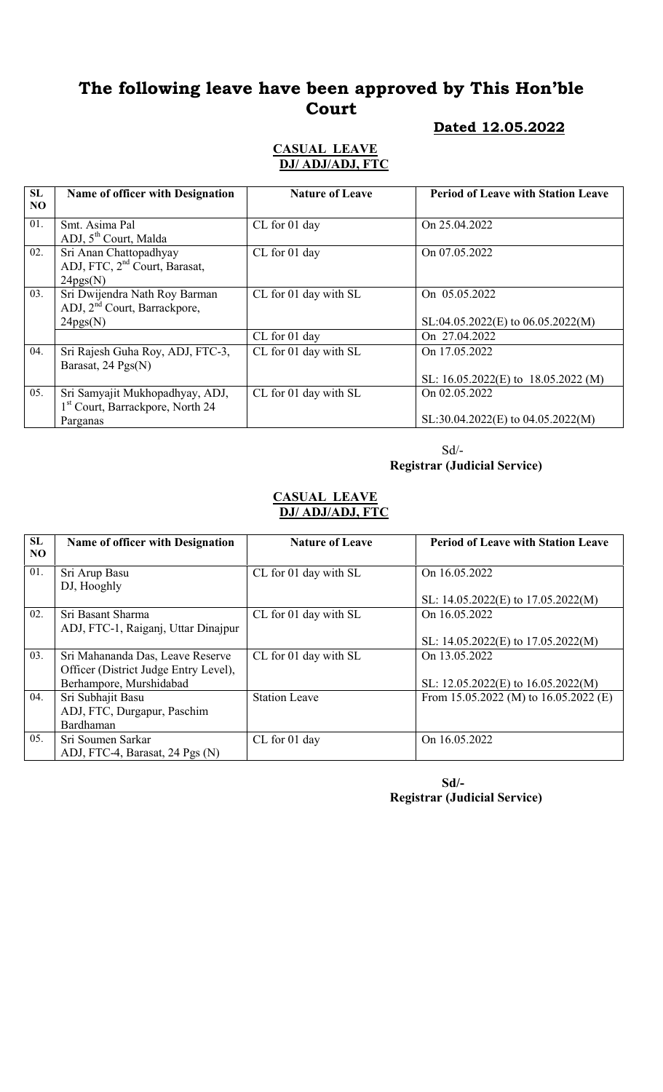#### Dated 12.05.2022

#### CASUAL LEAVE DJ/ ADJ/ADJ, FTC

| SL             | <b>Name of officer with Designation</b>      | <b>Nature of Leave</b> | <b>Period of Leave with Station Leave</b> |
|----------------|----------------------------------------------|------------------------|-------------------------------------------|
| N <sub>O</sub> |                                              |                        |                                           |
| 01.            | Smt. Asima Pal                               | CL for 01 day          | On 25.04.2022                             |
|                | ADJ, 5 <sup>th</sup> Court, Malda            |                        |                                           |
| 02.            | Sri Anan Chattopadhyay                       | CL for 01 day          | On 07.05.2022                             |
|                | ADJ, FTC, 2 <sup>nd</sup> Court, Barasat,    |                        |                                           |
|                | 24pgs(N)                                     |                        |                                           |
| 03.            | Sri Dwijendra Nath Roy Barman                | CL for 01 day with SL  | On 05.05.2022                             |
|                | ADJ, 2 <sup>nd</sup> Court, Barrackpore,     |                        |                                           |
|                | 24pgs(N)                                     |                        | $SL:04.05.2022(E)$ to 06.05.2022(M)       |
|                |                                              | CL for 01 day          | On 27.04.2022                             |
| 04.            | Sri Rajesh Guha Roy, ADJ, FTC-3,             | CL for 01 day with SL  | On 17.05.2022                             |
|                | Barasat, 24 Pgs(N)                           |                        |                                           |
|                |                                              |                        | SL: 16.05.2022(E) to 18.05.2022 (M)       |
| 05.            | Sri Samyajit Mukhopadhyay, ADJ,              | CL for 01 day with SL  | On 02.05.2022                             |
|                | 1 <sup>st</sup> Court, Barrackpore, North 24 |                        |                                           |
|                | Parganas                                     |                        | $SL:30.04.2022(E)$ to 04.05.2022(M)       |

 Sd/- Registrar (Judicial Service)

#### CASUAL LEAVE DJ/ ADJ/ADJ, FTC

| SL  | <b>Name of officer with Designation</b> | <b>Nature of Leave</b> | <b>Period of Leave with Station Leave</b> |
|-----|-----------------------------------------|------------------------|-------------------------------------------|
| NO. |                                         |                        |                                           |
| 01. | Sri Arup Basu                           | CL for 01 day with SL  | On 16.05.2022                             |
|     | DJ, Hooghly                             |                        |                                           |
|     |                                         |                        | SL: $14.05.2022(E)$ to $17.05.2022(M)$    |
| 02. | Sri Basant Sharma                       | CL for 01 day with SL  | On 16.05.2022                             |
|     | ADJ, FTC-1, Raiganj, Uttar Dinajpur     |                        |                                           |
|     |                                         |                        | SL: $14.05.2022(E)$ to $17.05.2022(M)$    |
| 03. | Sri Mahananda Das, Leave Reserve        | CL for 01 day with SL  | On 13.05.2022                             |
|     | Officer (District Judge Entry Level),   |                        |                                           |
|     | Berhampore, Murshidabad                 |                        | SL: $12.05.2022(E)$ to $16.05.2022(M)$    |
| 04. | Sri Subhajit Basu                       | <b>Station Leave</b>   | From 15.05.2022 (M) to $16.05.2022$ (E)   |
|     | ADJ, FTC, Durgapur, Paschim             |                        |                                           |
|     | Bardhaman                               |                        |                                           |
| 05. | Sri Soumen Sarkar                       | CL for 01 day          | On 16.05.2022                             |
|     | ADJ, FTC-4, Barasat, 24 Pgs (N)         |                        |                                           |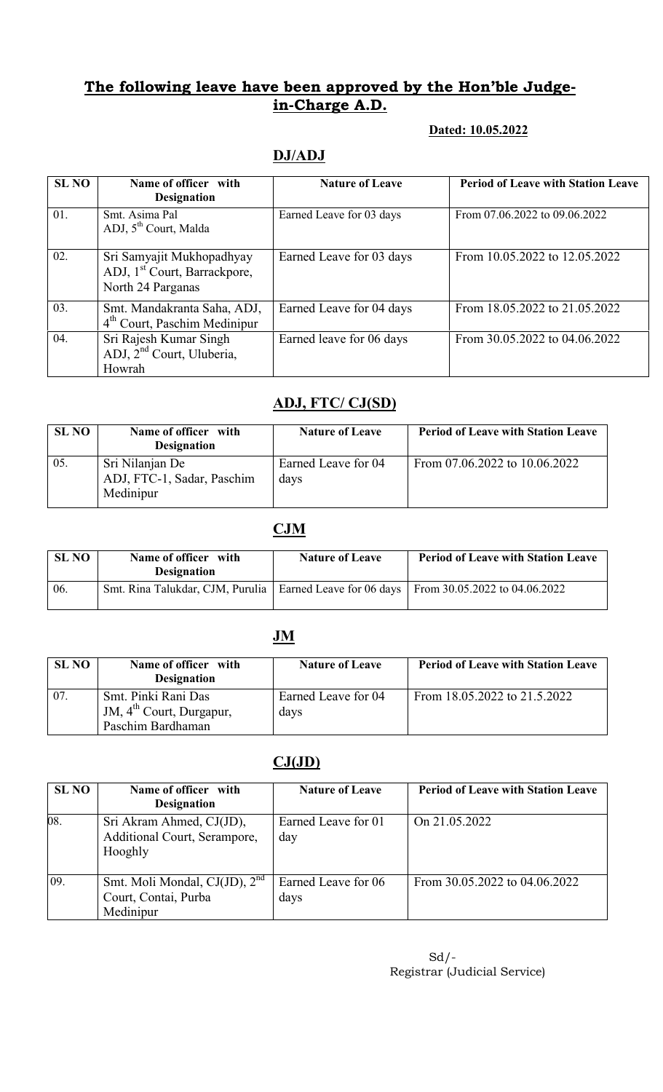#### Dated: 10.05.2022

### DJ/ADJ

| <b>SL NO</b> | Name of officer with<br><b>Designation</b>                                                 | <b>Nature of Leave</b>   | <b>Period of Leave with Station Leave</b> |
|--------------|--------------------------------------------------------------------------------------------|--------------------------|-------------------------------------------|
| 01.          | Smt. Asima Pal<br>ADJ, 5 <sup>th</sup> Court, Malda                                        | Earned Leave for 03 days | From 07.06.2022 to 09.06.2022             |
| 02.          | Sri Samyajit Mukhopadhyay<br>ADJ, 1 <sup>st</sup> Court, Barrackpore,<br>North 24 Parganas | Earned Leave for 03 days | From 10.05.2022 to 12.05.2022             |
| 03.          | Smt. Mandakranta Saha, ADJ,<br>4 <sup>th</sup> Court, Paschim Medinipur                    | Earned Leave for 04 days | From 18.05.2022 to 21.05.2022             |
| 04.          | Sri Rajesh Kumar Singh<br>ADJ, 2 <sup>nd</sup> Court, Uluberia,<br>Howrah                  | Earned leave for 06 days | From 30.05.2022 to 04.06.2022             |

### ADJ, FTC/ CJ(SD)

| <b>SL NO</b> | Name of officer with<br><b>Designation</b>                 | <b>Nature of Leave</b>      | <b>Period of Leave with Station Leave</b> |
|--------------|------------------------------------------------------------|-----------------------------|-------------------------------------------|
| 05.          | Sri Nilanjan De<br>ADJ, FTC-1, Sadar, Paschim<br>Medinipur | Earned Leave for 04<br>days | From 07.06.2022 to 10.06.2022             |

### CJM

| SL NO | Name of officer with<br><b>Designation</b>                                                  | <b>Nature of Leave</b> | <b>Period of Leave with Station Leave</b> |
|-------|---------------------------------------------------------------------------------------------|------------------------|-------------------------------------------|
| 06.   | Smt. Rina Talukdar, CJM, Purulia   Earned Leave for 06 days   From 30.05.2022 to 04.06.2022 |                        |                                           |

## JM

| <b>SL NO</b> | Name of officer with<br><b>Designation</b>                  | <b>Nature of Leave</b>      | <b>Period of Leave with Station Leave</b> |
|--------------|-------------------------------------------------------------|-----------------------------|-------------------------------------------|
| 07.          | Smt. Pinki Rani Das<br>JM, 4 <sup>th</sup> Court, Durgapur, | Earned Leave for 04<br>days | From $18.05.2022$ to $21.5.2022$          |
|              | Paschim Bardhaman                                           |                             |                                           |

### $CJ(JD)$

| <b>SL NO</b> | Name of officer with<br><b>Designation</b>                                     | <b>Nature of Leave</b>      | <b>Period of Leave with Station Leave</b> |
|--------------|--------------------------------------------------------------------------------|-----------------------------|-------------------------------------------|
| 08.          | Sri Akram Ahmed, CJ(JD),<br>Additional Court, Serampore,<br>Hooghly            | Earned Leave for 01<br>day  | On 21.05.2022                             |
| 09.          | Smt. Moli Mondal, CJ(JD), 2 <sup>nd</sup><br>Court, Contai, Purba<br>Medinipur | Earned Leave for 06<br>days | From 30.05.2022 to 04.06.2022             |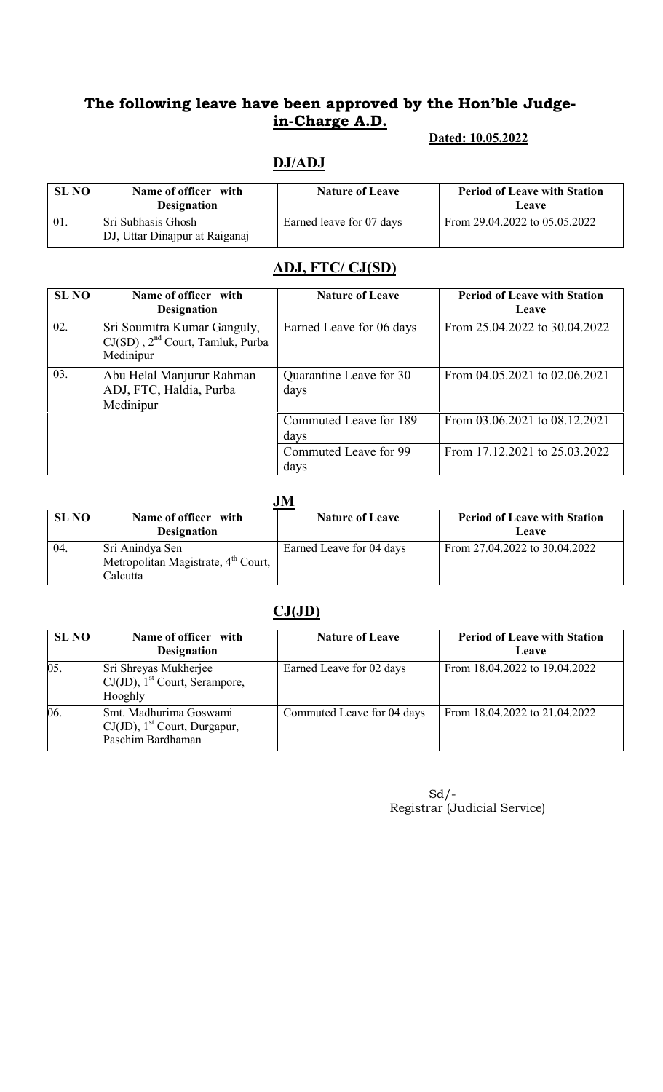#### Dated: 10.05.2022

### DJ/ADJ

| <b>SL NO</b> | Name of officer with<br><b>Designation</b>           | <b>Nature of Leave</b>   | <b>Period of Leave with Station</b><br>Leave |
|--------------|------------------------------------------------------|--------------------------|----------------------------------------------|
| 01.          | Sri Subhasis Ghosh<br>DJ, Uttar Dinajpur at Raiganaj | Earned leave for 07 days | From 29.04.2022 to 05.05.2022                |

### ADJ, FTC/ CJ(SD)

| <b>SL NO</b> | Name of officer with<br><b>Designation</b>                                               | <b>Nature of Leave</b>          | <b>Period of Leave with Station</b><br>Leave |
|--------------|------------------------------------------------------------------------------------------|---------------------------------|----------------------------------------------|
| 02.          | Sri Soumitra Kumar Ganguly,<br>CJ(SD), 2 <sup>nd</sup> Court, Tamluk, Purba<br>Medinipur | Earned Leave for 06 days        | From 25.04.2022 to 30.04.2022                |
| 03.          | Abu Helal Manjurur Rahman<br>ADJ, FTC, Haldia, Purba<br>Medinipur                        | Quarantine Leave for 30<br>days | From 04.05.2021 to 02.06.2021                |
|              |                                                                                          | Commuted Leave for 189<br>days  | From 03.06.2021 to 08.12.2021                |
|              |                                                                                          | Commuted Leave for 99<br>days   | From 17.12.2021 to 25.03.2022                |

|              | JM                                                                             |                          |                                              |  |  |
|--------------|--------------------------------------------------------------------------------|--------------------------|----------------------------------------------|--|--|
| <b>SL NO</b> | Name of officer with<br><b>Designation</b>                                     | <b>Nature of Leave</b>   | <b>Period of Leave with Station</b><br>Leave |  |  |
| 04.          | Sri Anindya Sen<br>Metropolitan Magistrate, 4 <sup>th</sup> Court,<br>Calcutta | Earned Leave for 04 days | From 27.04.2022 to 30.04.2022                |  |  |

### $CJ(JD)$

| <b>SL NO</b> | Name of officer with<br><b>Designation</b>                                                 | <b>Nature of Leave</b>     | <b>Period of Leave with Station</b><br>Leave |
|--------------|--------------------------------------------------------------------------------------------|----------------------------|----------------------------------------------|
| 05.          | Sri Shreyas Mukherjee<br>$CJ(JD)$ , 1 <sup>st</sup> Court, Serampore,<br>Hooghly           | Earned Leave for 02 days   | From 18.04.2022 to 19.04.2022                |
| 06.          | Smt. Madhurima Goswami<br>$CJ(JD)$ , 1 <sup>st</sup> Court, Durgapur,<br>Paschim Bardhaman | Commuted Leave for 04 days | From 18.04.2022 to 21.04.2022                |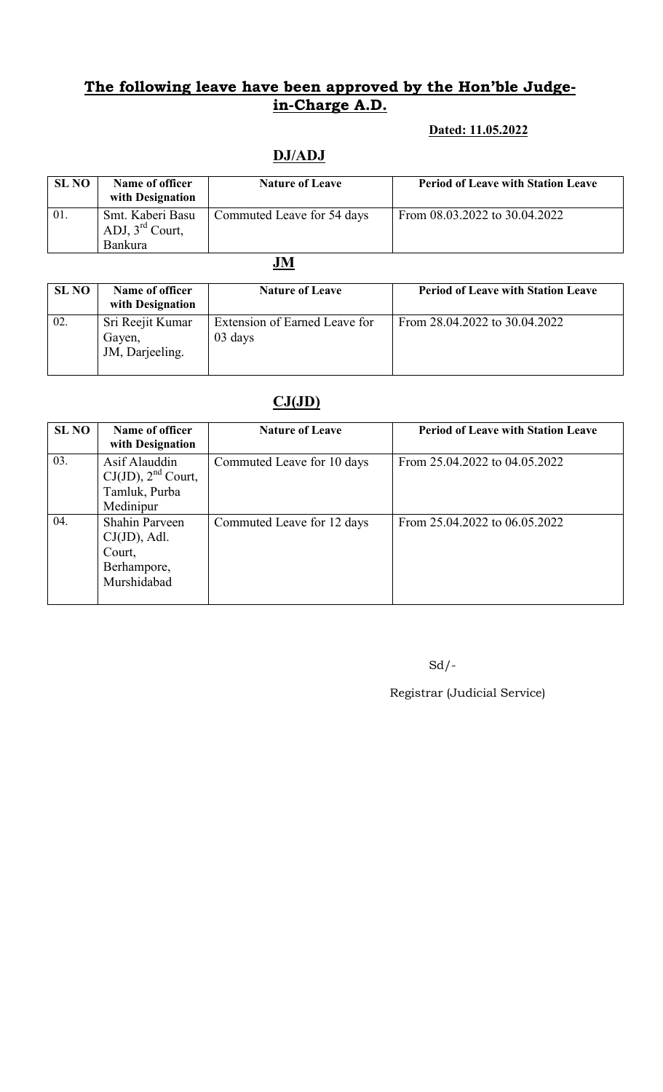### Dated: 11.05.2022

## DJ/ADJ

| <b>SL NO</b> | Name of officer<br>with Designation                               | <b>Nature of Leave</b>     | <b>Period of Leave with Station Leave</b> |
|--------------|-------------------------------------------------------------------|----------------------------|-------------------------------------------|
| 01.          | Smt. Kaberi Basu<br>ADJ, $3^{\text{rd}}$ Court,<br><b>Bankura</b> | Commuted Leave for 54 days | From 08.03.2022 to 30.04.2022             |

JM

| <b>SL NO</b> | Name of officer<br>with Designation           | <b>Nature of Leave</b>                   | <b>Period of Leave with Station Leave</b> |
|--------------|-----------------------------------------------|------------------------------------------|-------------------------------------------|
| 02.          | Sri Reejit Kumar<br>Gayen,<br>JM, Darjeeling. | Extension of Earned Leave for<br>03 days | From 28.04.2022 to 30.04.2022             |

## $CJ(JD)$

| <b>SL NO</b> | Name of officer<br>with Designation                                              | <b>Nature of Leave</b>     | <b>Period of Leave with Station Leave</b> |
|--------------|----------------------------------------------------------------------------------|----------------------------|-------------------------------------------|
| 03.          | Asif Alauddin<br>$CJ(JD)$ , $2nd$ Court,<br>Tamluk, Purba<br>Medinipur           | Commuted Leave for 10 days | From 25.04.2022 to 04.05.2022             |
| 04.          | <b>Shahin Parveen</b><br>$CJ(JD)$ , Adl.<br>Court,<br>Berhampore,<br>Murshidabad | Commuted Leave for 12 days | From 25.04.2022 to 06.05.2022             |

 $Sd$  /-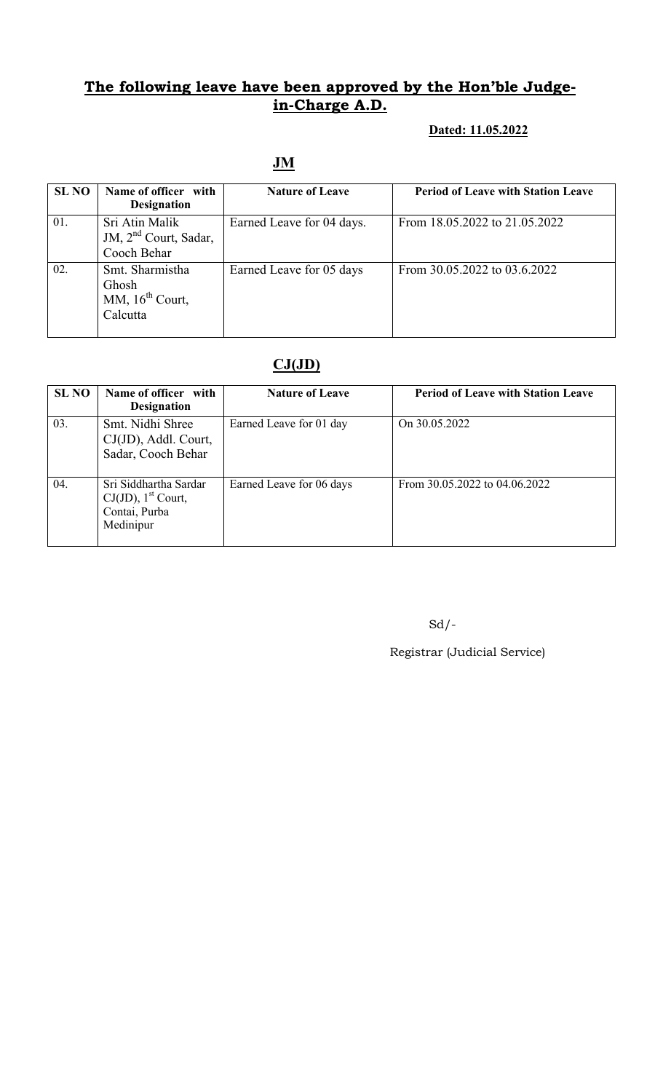#### Dated: 11.05.2022

### JM

| <b>SL NO</b> | Name of officer with<br><b>Designation</b>                         | <b>Nature of Leave</b>    | <b>Period of Leave with Station Leave</b> |
|--------------|--------------------------------------------------------------------|---------------------------|-------------------------------------------|
| 01.          | Sri Atin Malik<br>JM, 2 <sup>nd</sup> Court, Sadar,<br>Cooch Behar | Earned Leave for 04 days. | From 18.05.2022 to 21.05.2022             |
| 02.          | Smt. Sharmistha<br>Ghosh<br>MM, $16^{th}$ Court,<br>Calcutta       | Earned Leave for 05 days  | From 30.05.2022 to 03.6.2022              |

### $CJ(JD)$

| <b>SL NO</b> | Name of officer with<br><b>Designation</b>                                               | <b>Nature of Leave</b>   | <b>Period of Leave with Station Leave</b> |
|--------------|------------------------------------------------------------------------------------------|--------------------------|-------------------------------------------|
| 03.          | Smt. Nidhi Shree<br>CJ(JD), Addl. Court,<br>Sadar, Cooch Behar                           | Earned Leave for 01 day  | On 30.05.2022                             |
| 04.          | Sri Siddhartha Sardar<br>$CJ(JD)$ , 1 <sup>st</sup> Court,<br>Contai, Purba<br>Medinipur | Earned Leave for 06 days | From 30.05.2022 to 04.06.2022             |

Sd/-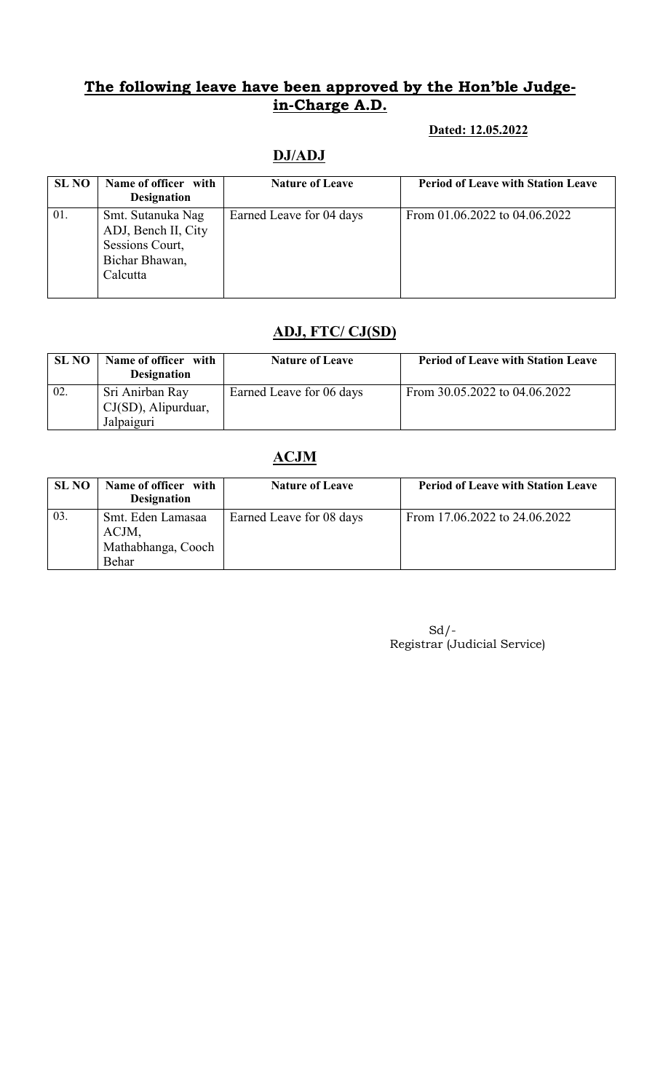#### Dated: 12.05.2022

| <b>SL NO</b> | Name of officer with<br><b>Designation</b>                                                | <b>Nature of Leave</b>   | <b>Period of Leave with Station Leave</b> |
|--------------|-------------------------------------------------------------------------------------------|--------------------------|-------------------------------------------|
| 01.          | Smt. Sutanuka Nag<br>ADJ, Bench II, City<br>Sessions Court,<br>Bichar Bhawan,<br>Calcutta | Earned Leave for 04 days | From 01.06.2022 to 04.06.2022             |

### DJ/ADJ

## ADJ, FTC/ CJ(SD)

| <b>SL NO</b> | Name of officer with<br><b>Designation</b>           | <b>Nature of Leave</b>   | <b>Period of Leave with Station Leave</b> |
|--------------|------------------------------------------------------|--------------------------|-------------------------------------------|
| 02.          | Sri Anirban Ray<br>CJ(SD), Alipurduar,<br>Jalpaiguri | Earned Leave for 06 days | From 30.05.2022 to 04.06.2022             |

### ACJM

| SL NO | Name of officer with<br><b>Designation</b>                | <b>Nature of Leave</b>   | <b>Period of Leave with Station Leave</b> |
|-------|-----------------------------------------------------------|--------------------------|-------------------------------------------|
| 03.   | Smt. Eden Lamasaa<br>ACJM,<br>Mathabhanga, Cooch<br>Behar | Earned Leave for 08 days | From 17.06.2022 to 24.06.2022             |